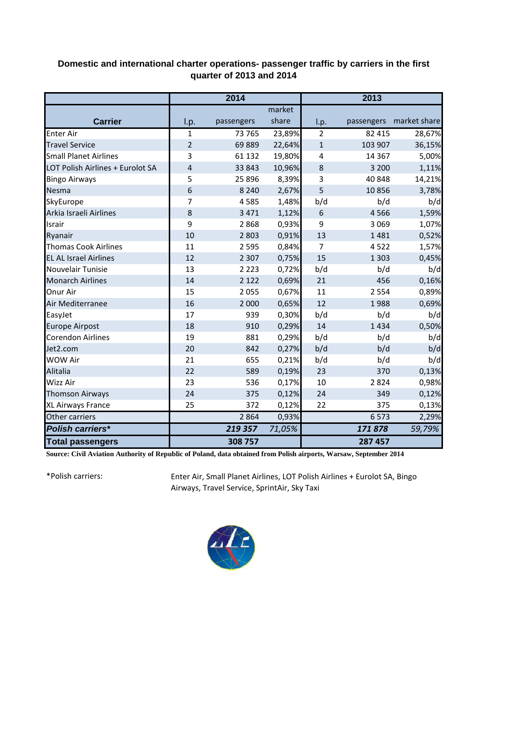## **Domestic and international charter operations- passenger traffic by carriers in the first quarter of 2013 and 2014**

|                                  | 2014           |            |        | 2013           |            |              |
|----------------------------------|----------------|------------|--------|----------------|------------|--------------|
|                                  |                |            | market |                |            |              |
| <b>Carrier</b>                   | I.p.           | passengers | share  | I.p.           | passengers | market share |
| <b>Enter Air</b>                 | $\mathbf{1}$   | 73 765     | 23,89% | $\overline{2}$ | 82 415     | 28,67%       |
| <b>Travel Service</b>            | $\overline{2}$ | 69889      | 22,64% | $\mathbf 1$    | 103 907    | 36,15%       |
| <b>Small Planet Airlines</b>     | 3              | 61 132     | 19,80% | $\overline{4}$ | 14 3 67    | 5,00%        |
| LOT Polish Airlines + Eurolot SA | $\overline{4}$ | 33 843     | 10,96% | 8              | 3 2 0 0    | 1,11%        |
| <b>Bingo Airways</b>             | 5              | 25 8 96    | 8,39%  | 3              | 40 848     | 14,21%       |
| Nesma                            | 6              | 8 2 4 0    | 2,67%  | 5              | 10856      | 3,78%        |
| SkyEurope                        | 7              | 4585       | 1,48%  | b/d            | b/d        | b/d          |
| Arkia Israeli Airlines           | 8              | 3 4 7 1    | 1,12%  | 6              | 4566       | 1,59%        |
| Israir                           | 9              | 2868       | 0,93%  | 9              | 3 0 6 9    | 1,07%        |
| Ryanair                          | 10             | 2 8 0 3    | 0,91%  | 13             | 1481       | 0,52%        |
| <b>Thomas Cook Airlines</b>      | 11             | 2 5 9 5    | 0,84%  | $\overline{7}$ | 4522       | 1,57%        |
| <b>EL AL Israel Airlines</b>     | 12             | 2 3 0 7    | 0,75%  | 15             | 1 3 0 3    | 0,45%        |
| Nouvelair Tunisie                | 13             | 2 2 2 3    | 0,72%  | b/d            | b/d        | b/d          |
| <b>Monarch Airlines</b>          | 14             | 2 1 2 2    | 0,69%  | 21             | 456        | 0,16%        |
| Onur Air                         | 15             | 2055       | 0,67%  | 11             | 2 5 5 4    | 0,89%        |
| Air Mediterranee                 | 16             | 2 0 0 0    | 0,65%  | 12             | 1988       | 0,69%        |
| EasyJet                          | 17             | 939        | 0,30%  | b/d            | b/d        | b/d          |
| <b>Europe Airpost</b>            | 18             | 910        | 0,29%  | 14             | 1434       | 0,50%        |
| <b>Corendon Airlines</b>         | 19             | 881        | 0,29%  | b/d            | b/d        | b/d          |
| Jet2.com                         | 20             | 842        | 0,27%  | b/d            | b/d        | b/d          |
| <b>WOW Air</b>                   | 21             | 655        | 0,21%  | b/d            | b/d        | b/d          |
| Alitalia                         | 22             | 589        | 0,19%  | 23             | 370        | 0,13%        |
| Wizz Air                         | 23             | 536        | 0,17%  | 10             | 2824       | 0,98%        |
| <b>Thomson Airways</b>           | 24             | 375        | 0,12%  | 24             | 349        | 0,12%        |
| XL Airways France                | 25             | 372        | 0,12%  | 22             | 375        | 0,13%        |
| Other carriers                   |                | 2864       | 0,93%  |                | 6573       | 2,29%        |
| <b>Polish carriers*</b>          |                | 219 357    | 71,05% |                | 171878     | 59,79%       |
| <b>Total passengers</b>          |                | 308 757    |        |                | 287 457    |              |

**Source: Civil Aviation Authority of Republic of Poland, data obtained from Polish airports, Warsaw, September 2014**

\*Polish carriers:

Enter Air, Small Planet Airlines, LOT Polish Airlines + Eurolot SA, Bingo Airways, Travel Service, SprintAir, Sky Taxi